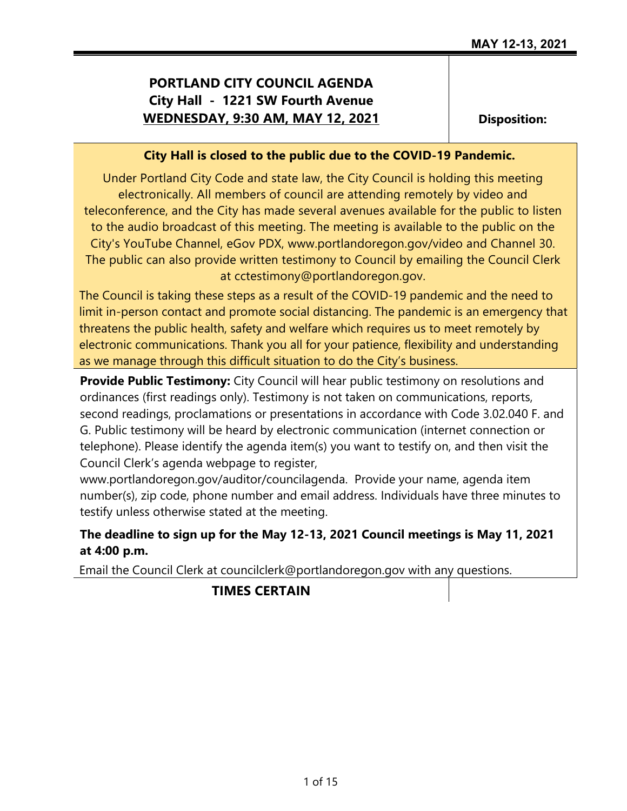# **PORTLAND CITY COUNCIL AGENDA City Hall - 1221 SW Fourth Avenue WEDNESDAY, 9:30 AM, MAY 12, 2021**

**Disposition:**

## **City Hall is closed to the public due to the COVID-19 Pandemic.**

Under Portland City Code and state law, the City Council is holding this meeting electronically. All members of council are attending remotely by video and teleconference, and the City has made several avenues available for the public to listen to the audio broadcast of this meeting. The meeting is available to the public on the City's YouTube Channel, eGov PDX, www.portlandoregon.gov/video and Channel 30. The public can also provide written testimony to Council by emailing the Council Clerk at cctestimony@portlandoregon.gov.

The Council is taking these steps as a result of the COVID-19 pandemic and the need to limit in-person contact and promote social distancing. The pandemic is an emergency that threatens the public health, safety and welfare which requires us to meet remotely by electronic communications. Thank you all for your patience, flexibility and understanding as we manage through this difficult situation to do the City's business.

**Provide Public Testimony:** City Council will hear public testimony on resolutions and ordinances (first readings only). Testimony is not taken on communications, reports, second readings, proclamations or presentations in accordance with Code 3.02.040 F. and G. Public testimony will be heard by electronic communication (internet connection or telephone). Please identify the agenda item(s) you want to testify on, and then visit the Council Clerk's agenda webpage to register,

www.portlandoregon.gov/auditor/councilagenda. Provide your name, agenda item number(s), zip code, phone number and email address. Individuals have three minutes to testify unless otherwise stated at the meeting.

# **The deadline to sign up for the May 12-13, 2021 Council meetings is May 11, 2021 at 4:00 p.m.**

Email the Council Clerk at councilclerk@portlandoregon.gov with any questions.

## **TIMES CERTAIN**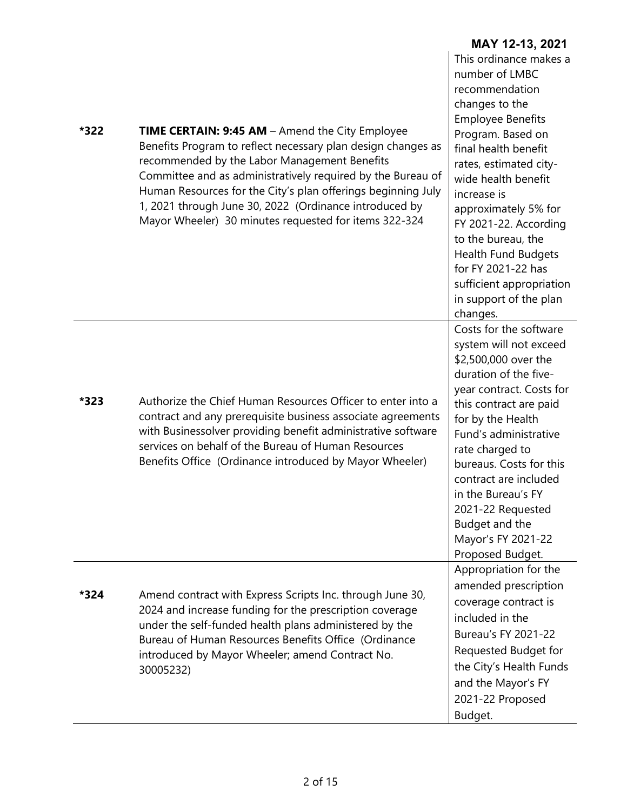| *322 | <b>TIME CERTAIN: 9:45 AM - Amend the City Employee</b><br>Benefits Program to reflect necessary plan design changes as<br>recommended by the Labor Management Benefits<br>Committee and as administratively required by the Bureau of<br>Human Resources for the City's plan offerings beginning July<br>1, 2021 through June 30, 2022 (Ordinance introduced by<br>Mayor Wheeler) 30 minutes requested for items 322-324 | This ordinance makes a<br>number of LMBC<br>recommendation<br>changes to the<br><b>Employee Benefits</b><br>Program. Based on<br>final health benefit<br>rates, estimated city-<br>wide health benefit<br>increase is<br>approximately 5% for<br>FY 2021-22. According<br>to the bureau, the<br>Health Fund Budgets<br>for FY 2021-22 has<br>sufficient appropriation<br>in support of the plan<br>changes. |
|------|--------------------------------------------------------------------------------------------------------------------------------------------------------------------------------------------------------------------------------------------------------------------------------------------------------------------------------------------------------------------------------------------------------------------------|-------------------------------------------------------------------------------------------------------------------------------------------------------------------------------------------------------------------------------------------------------------------------------------------------------------------------------------------------------------------------------------------------------------|
| *323 | Authorize the Chief Human Resources Officer to enter into a<br>contract and any prerequisite business associate agreements<br>with Businessolver providing benefit administrative software<br>services on behalf of the Bureau of Human Resources<br>Benefits Office (Ordinance introduced by Mayor Wheeler)                                                                                                             | Costs for the software<br>system will not exceed<br>\$2,500,000 over the<br>duration of the five-<br>year contract. Costs for<br>this contract are paid<br>for by the Health<br>Fund's administrative<br>rate charged to<br>bureaus. Costs for this<br>contract are included<br>in the Bureau's FY<br>2021-22 Requested<br>Budget and the<br>Mayor's FY 2021-22<br>Proposed Budget.                         |
| *324 | Amend contract with Express Scripts Inc. through June 30,<br>2024 and increase funding for the prescription coverage<br>under the self-funded health plans administered by the<br>Bureau of Human Resources Benefits Office (Ordinance<br>introduced by Mayor Wheeler; amend Contract No.<br>30005232)                                                                                                                   | Appropriation for the<br>amended prescription<br>coverage contract is<br>included in the<br>Bureau's FY 2021-22<br>Requested Budget for<br>the City's Health Funds<br>and the Mayor's FY<br>2021-22 Proposed<br>Budget.                                                                                                                                                                                     |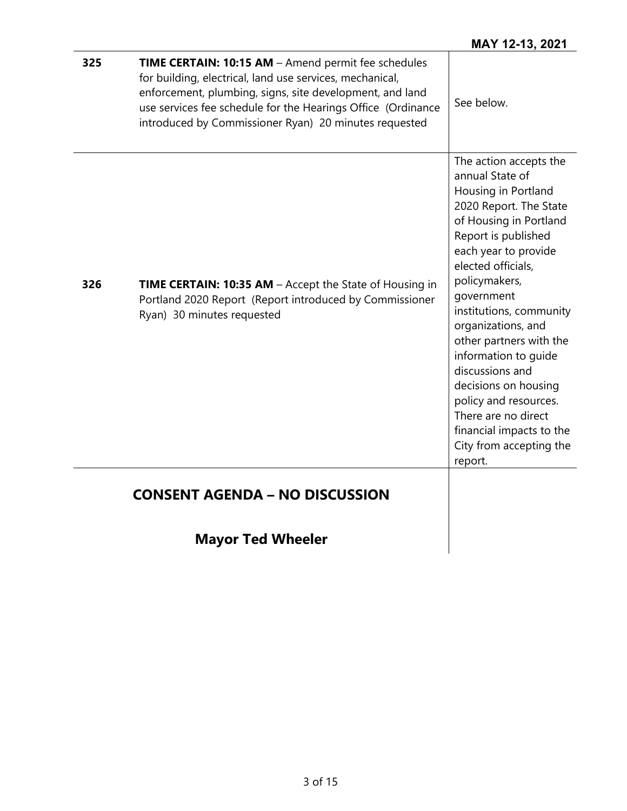| 325 | <b>TIME CERTAIN: 10:15 AM</b> - Amend permit fee schedules<br>for building, electrical, land use services, mechanical,<br>enforcement, plumbing, signs, site development, and land<br>use services fee schedule for the Hearings Office (Ordinance<br>introduced by Commissioner Ryan) 20 minutes requested | See below.                                                                                                                                                                                                                                                                                                                                                                                                                                                                                |
|-----|-------------------------------------------------------------------------------------------------------------------------------------------------------------------------------------------------------------------------------------------------------------------------------------------------------------|-------------------------------------------------------------------------------------------------------------------------------------------------------------------------------------------------------------------------------------------------------------------------------------------------------------------------------------------------------------------------------------------------------------------------------------------------------------------------------------------|
| 326 | <b>TIME CERTAIN: 10:35 AM</b> – Accept the State of Housing in<br>Portland 2020 Report (Report introduced by Commissioner<br>Ryan) 30 minutes requested                                                                                                                                                     | The action accepts the<br>annual State of<br>Housing in Portland<br>2020 Report. The State<br>of Housing in Portland<br>Report is published<br>each year to provide<br>elected officials,<br>policymakers,<br>government<br>institutions, community<br>organizations, and<br>other partners with the<br>information to quide<br>discussions and<br>decisions on housing<br>policy and resources.<br>There are no direct<br>financial impacts to the<br>City from accepting the<br>report. |
|     | <b>CONSENT AGENDA - NO DISCUSSION</b>                                                                                                                                                                                                                                                                       |                                                                                                                                                                                                                                                                                                                                                                                                                                                                                           |
|     | <b>Mayor Ted Wheeler</b>                                                                                                                                                                                                                                                                                    |                                                                                                                                                                                                                                                                                                                                                                                                                                                                                           |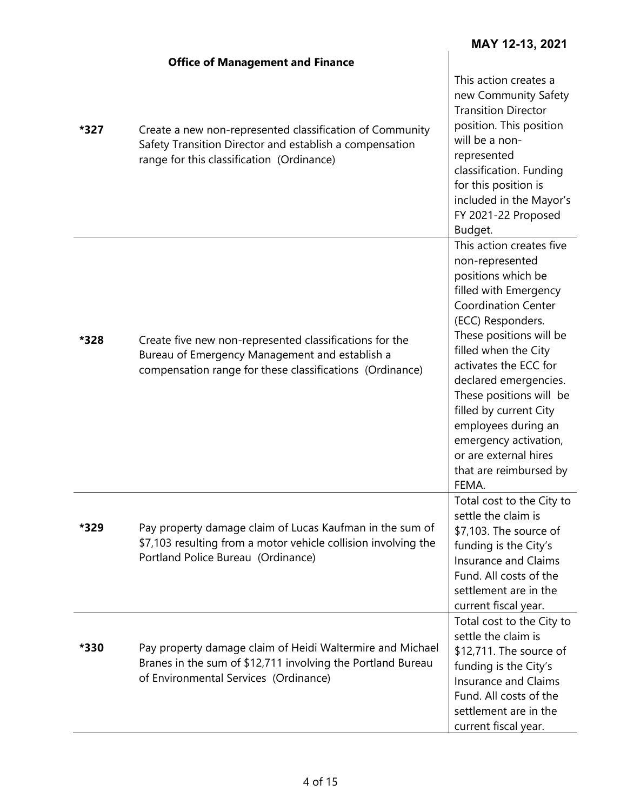$\overline{\phantom{a}}$ 

|      | <b>Office of Management and Finance</b>                                                                                                                               |                                                                                                                                                                                                                                                                                                                                                                                                                     |
|------|-----------------------------------------------------------------------------------------------------------------------------------------------------------------------|---------------------------------------------------------------------------------------------------------------------------------------------------------------------------------------------------------------------------------------------------------------------------------------------------------------------------------------------------------------------------------------------------------------------|
| *327 | Create a new non-represented classification of Community<br>Safety Transition Director and establish a compensation<br>range for this classification (Ordinance)      | This action creates a<br>new Community Safety<br><b>Transition Director</b><br>position. This position<br>will be a non-<br>represented<br>classification. Funding<br>for this position is<br>included in the Mayor's<br>FY 2021-22 Proposed<br>Budget.                                                                                                                                                             |
| *328 | Create five new non-represented classifications for the<br>Bureau of Emergency Management and establish a<br>compensation range for these classifications (Ordinance) | This action creates five<br>non-represented<br>positions which be<br>filled with Emergency<br><b>Coordination Center</b><br>(ECC) Responders.<br>These positions will be<br>filled when the City<br>activates the ECC for<br>declared emergencies.<br>These positions will be<br>filled by current City<br>employees during an<br>emergency activation,<br>or are external hires<br>that are reimbursed by<br>FEMA. |
| *329 | Pay property damage claim of Lucas Kaufman in the sum of<br>\$7,103 resulting from a motor vehicle collision involving the<br>Portland Police Bureau (Ordinance)      | Total cost to the City to<br>settle the claim is<br>\$7,103. The source of<br>funding is the City's<br>Insurance and Claims<br>Fund. All costs of the<br>settlement are in the<br>current fiscal year.                                                                                                                                                                                                              |
| *330 | Pay property damage claim of Heidi Waltermire and Michael<br>Branes in the sum of \$12,711 involving the Portland Bureau<br>of Environmental Services (Ordinance)     | Total cost to the City to<br>settle the claim is<br>\$12,711. The source of<br>funding is the City's<br>Insurance and Claims<br>Fund. All costs of the<br>settlement are in the<br>current fiscal year.                                                                                                                                                                                                             |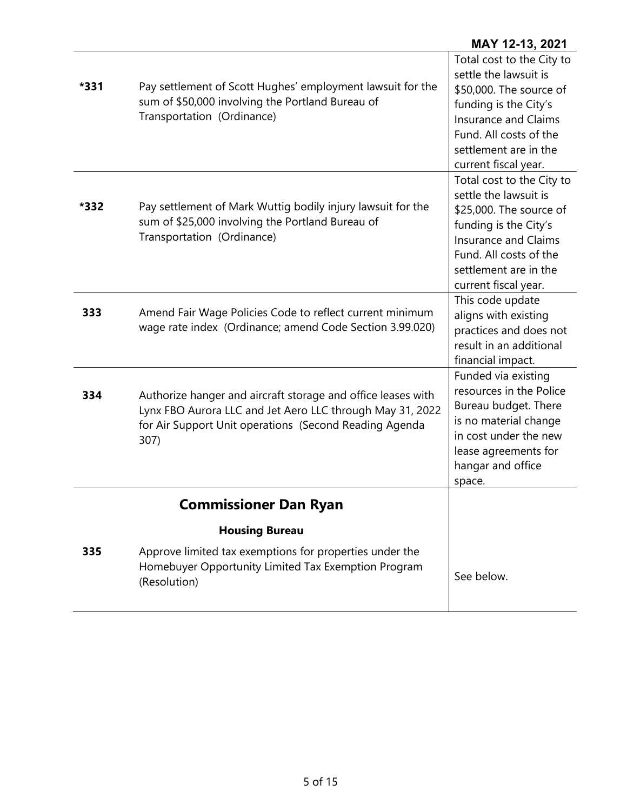| *331 | Pay settlement of Scott Hughes' employment lawsuit for the<br>sum of \$50,000 involving the Portland Bureau of<br>Transportation (Ordinance)                                                | Total cost to the City to<br>settle the lawsuit is<br>\$50,000. The source of<br>funding is the City's<br><b>Insurance and Claims</b><br>Fund. All costs of the<br>settlement are in the<br>current fiscal year. |
|------|---------------------------------------------------------------------------------------------------------------------------------------------------------------------------------------------|------------------------------------------------------------------------------------------------------------------------------------------------------------------------------------------------------------------|
| *332 | Pay settlement of Mark Wuttig bodily injury lawsuit for the<br>sum of \$25,000 involving the Portland Bureau of<br>Transportation (Ordinance)                                               | Total cost to the City to<br>settle the lawsuit is<br>\$25,000. The source of<br>funding is the City's<br><b>Insurance and Claims</b><br>Fund. All costs of the<br>settlement are in the<br>current fiscal year. |
| 333  | Amend Fair Wage Policies Code to reflect current minimum<br>wage rate index (Ordinance; amend Code Section 3.99.020)                                                                        | This code update<br>aligns with existing<br>practices and does not<br>result in an additional<br>financial impact.                                                                                               |
| 334  | Authorize hanger and aircraft storage and office leases with<br>Lynx FBO Aurora LLC and Jet Aero LLC through May 31, 2022<br>for Air Support Unit operations (Second Reading Agenda<br>307) | Funded via existing<br>resources in the Police<br>Bureau budget. There<br>is no material change<br>in cost under the new<br>lease agreements for<br>hangar and office<br>space.                                  |
|      | <b>Commissioner Dan Ryan</b>                                                                                                                                                                |                                                                                                                                                                                                                  |
|      | <b>Housing Bureau</b>                                                                                                                                                                       |                                                                                                                                                                                                                  |
| 335  | Approve limited tax exemptions for properties under the<br>Homebuyer Opportunity Limited Tax Exemption Program<br>(Resolution)                                                              | See below.                                                                                                                                                                                                       |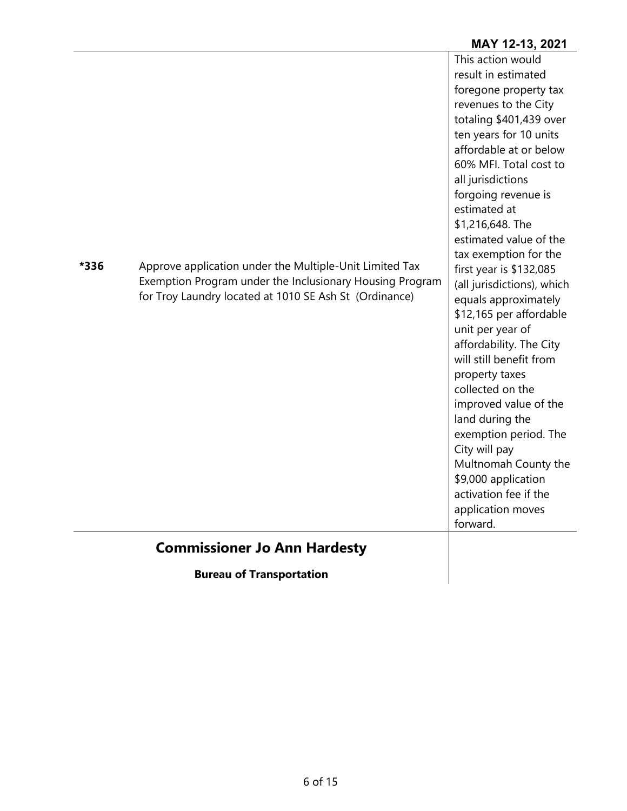|      | Exemption Program under the Inclusionary Housing Program<br>for Troy Laundry located at 1010 SE Ash St (Ordinance)<br><b>Commissioner Jo Ann Hardesty</b> | (all jurisdictions), which<br>equals approximately<br>\$12,165 per affordable<br>unit per year of<br>affordability. The City<br>will still benefit from<br>property taxes<br>collected on the<br>improved value of the<br>land during the<br>exemption period. The<br>City will pay<br>Multnomah County the<br>\$9,000 application<br>activation fee if the<br>application moves<br>forward. |
|------|-----------------------------------------------------------------------------------------------------------------------------------------------------------|----------------------------------------------------------------------------------------------------------------------------------------------------------------------------------------------------------------------------------------------------------------------------------------------------------------------------------------------------------------------------------------------|
| *336 | Approve application under the Multiple-Unit Limited Tax                                                                                                   | This action would<br>result in estimated<br>foregone property tax<br>revenues to the City<br>totaling \$401,439 over<br>ten years for 10 units<br>affordable at or below<br>60% MFI. Total cost to<br>all jurisdictions<br>forgoing revenue is<br>estimated at<br>\$1,216,648. The<br>estimated value of the<br>tax exemption for the<br>first year is \$132,085                             |

**Bureau of Transportation**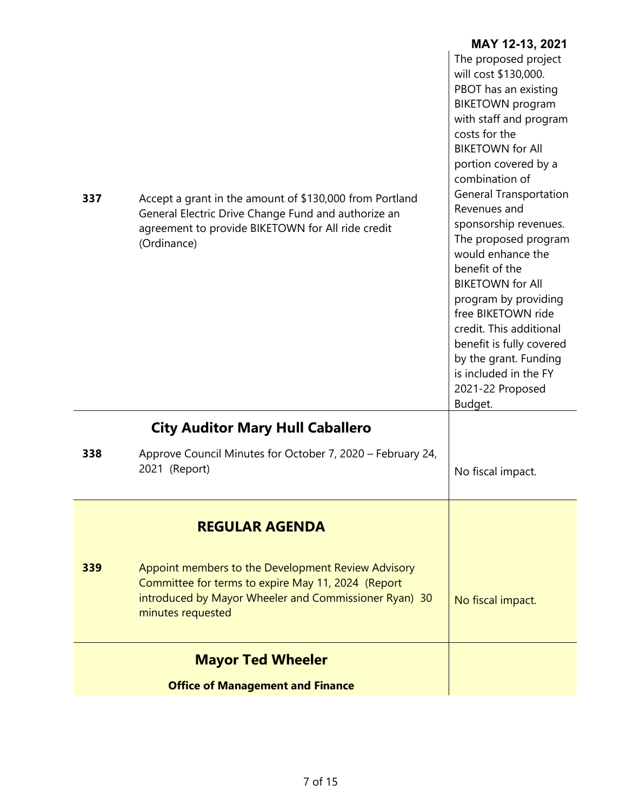|     |                                                                                                                                                                                        | MAY 12-13, 2021                                                                                                                                                                                                                                                                                                                                                                                                                                                                                                                                                           |
|-----|----------------------------------------------------------------------------------------------------------------------------------------------------------------------------------------|---------------------------------------------------------------------------------------------------------------------------------------------------------------------------------------------------------------------------------------------------------------------------------------------------------------------------------------------------------------------------------------------------------------------------------------------------------------------------------------------------------------------------------------------------------------------------|
| 337 | Accept a grant in the amount of \$130,000 from Portland<br>General Electric Drive Change Fund and authorize an<br>agreement to provide BIKETOWN for All ride credit<br>(Ordinance)     | The proposed project<br>will cost \$130,000.<br>PBOT has an existing<br><b>BIKETOWN</b> program<br>with staff and program<br>costs for the<br><b>BIKETOWN for All</b><br>portion covered by a<br>combination of<br><b>General Transportation</b><br>Revenues and<br>sponsorship revenues.<br>The proposed program<br>would enhance the<br>benefit of the<br><b>BIKETOWN for All</b><br>program by providing<br>free BIKETOWN ride<br>credit. This additional<br>benefit is fully covered<br>by the grant. Funding<br>is included in the FY<br>2021-22 Proposed<br>Budget. |
|     | <b>City Auditor Mary Hull Caballero</b>                                                                                                                                                |                                                                                                                                                                                                                                                                                                                                                                                                                                                                                                                                                                           |
| 338 | Approve Council Minutes for October 7, 2020 – February 24,<br>2021 (Report)                                                                                                            | No fiscal impact.                                                                                                                                                                                                                                                                                                                                                                                                                                                                                                                                                         |
|     | <b>REGULAR AGENDA</b>                                                                                                                                                                  |                                                                                                                                                                                                                                                                                                                                                                                                                                                                                                                                                                           |
| 339 | Appoint members to the Development Review Advisory<br>Committee for terms to expire May 11, 2024 (Report<br>introduced by Mayor Wheeler and Commissioner Ryan) 30<br>minutes requested | No fiscal impact.                                                                                                                                                                                                                                                                                                                                                                                                                                                                                                                                                         |
|     | <b>Mayor Ted Wheeler</b>                                                                                                                                                               |                                                                                                                                                                                                                                                                                                                                                                                                                                                                                                                                                                           |
|     | <b>Office of Management and Finance</b>                                                                                                                                                |                                                                                                                                                                                                                                                                                                                                                                                                                                                                                                                                                                           |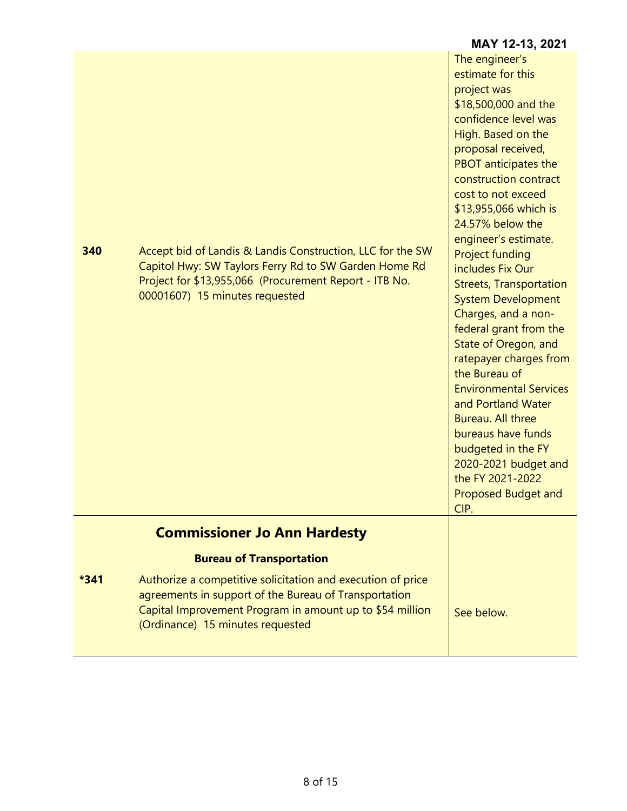|        |                                                                                                                                                                                                                      | IVIAI IZ-IJ, ZUZ I                                                                                                                                                                                                                                                                                                                                                                                                                                                                                                                                                                                                                                                                                                                           |
|--------|----------------------------------------------------------------------------------------------------------------------------------------------------------------------------------------------------------------------|----------------------------------------------------------------------------------------------------------------------------------------------------------------------------------------------------------------------------------------------------------------------------------------------------------------------------------------------------------------------------------------------------------------------------------------------------------------------------------------------------------------------------------------------------------------------------------------------------------------------------------------------------------------------------------------------------------------------------------------------|
| 340    | Accept bid of Landis & Landis Construction, LLC for the SW<br>Capitol Hwy: SW Taylors Ferry Rd to SW Garden Home Rd<br>Project for \$13,955,066 (Procurement Report - ITB No.<br>00001607) 15 minutes requested      | The engineer's<br>estimate for this<br>project was<br>\$18,500,000 and the<br>confidence level was<br>High. Based on the<br>proposal received,<br><b>PBOT</b> anticipates the<br>construction contract<br>cost to not exceed<br>\$13,955,066 which is<br>24.57% below the<br>engineer's estimate.<br><b>Project funding</b><br>includes Fix Our<br><b>Streets, Transportation</b><br><b>System Development</b><br>Charges, and a non-<br>federal grant from the<br>State of Oregon, and<br>ratepayer charges from<br>the Bureau of<br><b>Environmental Services</b><br>and Portland Water<br>Bureau. All three<br>bureaus have funds<br>budgeted in the FY<br>2020-2021 budget and<br>the FY 2021-2022<br><b>Proposed Budget and</b><br>CIP. |
|        | <b>Commissioner Jo Ann Hardesty</b>                                                                                                                                                                                  |                                                                                                                                                                                                                                                                                                                                                                                                                                                                                                                                                                                                                                                                                                                                              |
|        | <b>Bureau of Transportation</b>                                                                                                                                                                                      |                                                                                                                                                                                                                                                                                                                                                                                                                                                                                                                                                                                                                                                                                                                                              |
| $*341$ | Authorize a competitive solicitation and execution of price<br>agreements in support of the Bureau of Transportation<br>Capital Improvement Program in amount up to \$54 million<br>(Ordinance) 15 minutes requested | See below.                                                                                                                                                                                                                                                                                                                                                                                                                                                                                                                                                                                                                                                                                                                                   |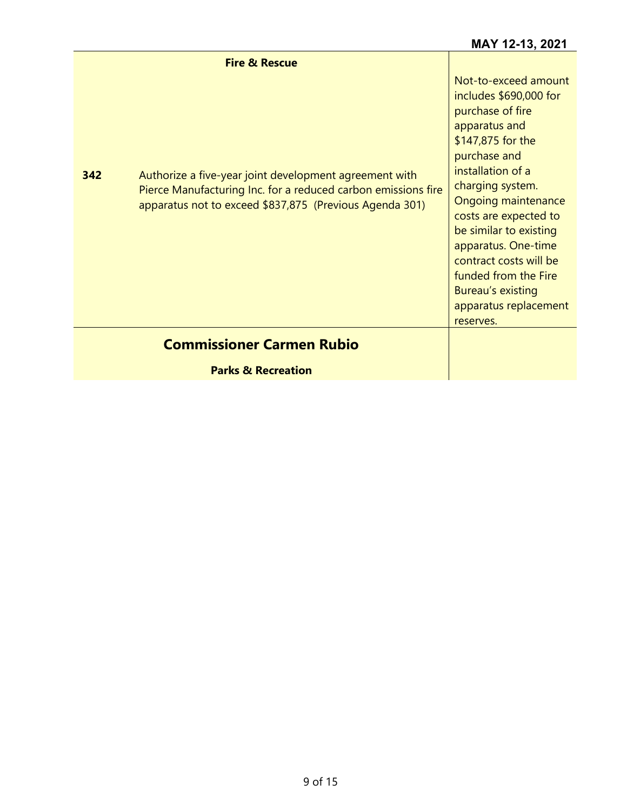|     | <b>Fire &amp; Rescue</b>                                                                                                                                                           |                                                                                                                                                                                                                                                                                                                                                                                        |
|-----|------------------------------------------------------------------------------------------------------------------------------------------------------------------------------------|----------------------------------------------------------------------------------------------------------------------------------------------------------------------------------------------------------------------------------------------------------------------------------------------------------------------------------------------------------------------------------------|
| 342 | Authorize a five-year joint development agreement with<br>Pierce Manufacturing Inc. for a reduced carbon emissions fire<br>apparatus not to exceed \$837,875 (Previous Agenda 301) | Not-to-exceed amount<br>includes \$690,000 for<br>purchase of fire<br>apparatus and<br>\$147,875 for the<br>purchase and<br>installation of a<br>charging system.<br><b>Ongoing maintenance</b><br>costs are expected to<br>be similar to existing<br>apparatus. One-time<br>contract costs will be<br>funded from the Fire<br>Bureau's existing<br>apparatus replacement<br>reserves. |
|     | <b>Commissioner Carmen Rubio</b>                                                                                                                                                   |                                                                                                                                                                                                                                                                                                                                                                                        |
|     | <b>Parks &amp; Recreation</b>                                                                                                                                                      |                                                                                                                                                                                                                                                                                                                                                                                        |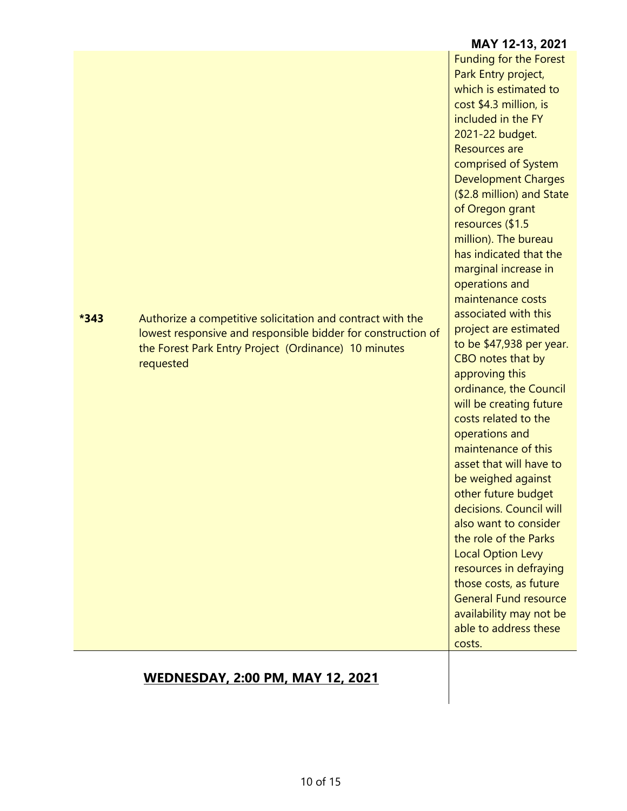|        |                                                                                                                                                                                                 | included in the FY<br>2021-22 budget.<br><b>Resources are</b><br>comprised of System<br><b>Development Charges</b><br>(\$2.8 million) and State<br>of Oregon grant<br>resources (\$1.5<br>million). The bureau<br>has indicated that the<br>marginal increase in<br>operations and<br>maintenance costs                                                                                                                                                                                                                                                                   |
|--------|-------------------------------------------------------------------------------------------------------------------------------------------------------------------------------------------------|---------------------------------------------------------------------------------------------------------------------------------------------------------------------------------------------------------------------------------------------------------------------------------------------------------------------------------------------------------------------------------------------------------------------------------------------------------------------------------------------------------------------------------------------------------------------------|
| $*343$ | Authorize a competitive solicitation and contract with the<br>lowest responsive and responsible bidder for construction of<br>the Forest Park Entry Project (Ordinance) 10 minutes<br>requested | associated with this<br>project are estimated<br>to be \$47,938 per year.<br>CBO notes that by<br>approving this<br>ordinance, the Council<br>will be creating future<br>costs related to the<br>operations and<br>maintenance of this<br>asset that will have to<br>be weighed against<br>other future budget<br>decisions. Council will<br>also want to consider<br>the role of the Parks<br><b>Local Option Levy</b><br>resources in defraying<br>those costs, as future<br><b>General Fund resource</b><br>availability may not be<br>able to address these<br>costs. |
|        |                                                                                                                                                                                                 |                                                                                                                                                                                                                                                                                                                                                                                                                                                                                                                                                                           |

# **WEDNESDAY, 2:00 PM, MAY 12, 2021**

#### which is estimated to cost \$4.3 million, is

**MAY 12-13, 2021**

Funding for the Forest Park Entry project,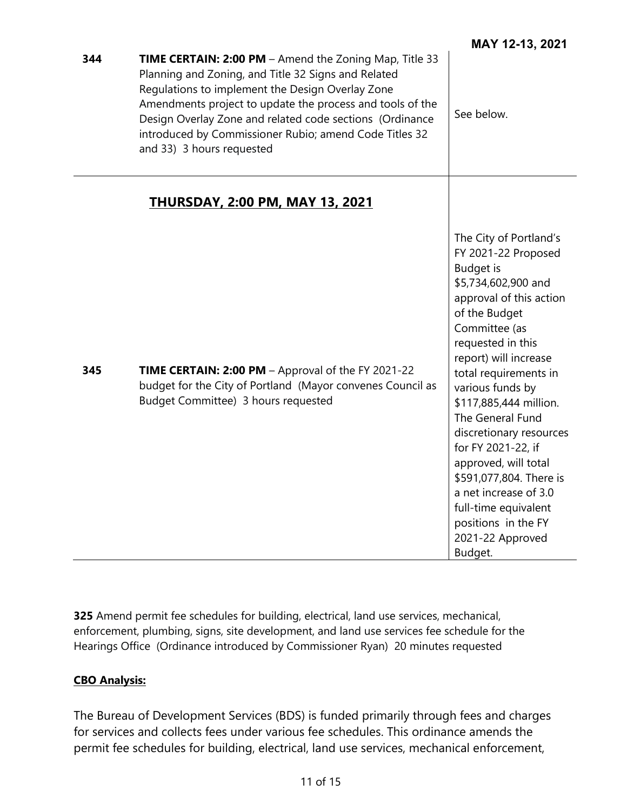| 344 | <b>TIME CERTAIN: 2:00 PM</b> – Amend the Zoning Map, Title 33<br>Planning and Zoning, and Title 32 Signs and Related<br>Regulations to implement the Design Overlay Zone<br>Amendments project to update the process and tools of the<br>Design Overlay Zone and related code sections (Ordinance<br>introduced by Commissioner Rubio; amend Code Titles 32<br>and 33) 3 hours requested | See below.                                                                                                                                                                                                                                                                                                                                                                                                                                                                                                |
|-----|------------------------------------------------------------------------------------------------------------------------------------------------------------------------------------------------------------------------------------------------------------------------------------------------------------------------------------------------------------------------------------------|-----------------------------------------------------------------------------------------------------------------------------------------------------------------------------------------------------------------------------------------------------------------------------------------------------------------------------------------------------------------------------------------------------------------------------------------------------------------------------------------------------------|
|     | <b>THURSDAY, 2:00 PM, MAY 13, 2021</b>                                                                                                                                                                                                                                                                                                                                                   |                                                                                                                                                                                                                                                                                                                                                                                                                                                                                                           |
| 345 | TIME CERTAIN: 2:00 PM - Approval of the FY 2021-22<br>budget for the City of Portland (Mayor convenes Council as<br>Budget Committee) 3 hours requested                                                                                                                                                                                                                                  | The City of Portland's<br>FY 2021-22 Proposed<br><b>Budget</b> is<br>\$5,734,602,900 and<br>approval of this action<br>of the Budget<br>Committee (as<br>requested in this<br>report) will increase<br>total requirements in<br>various funds by<br>\$117,885,444 million.<br>The General Fund<br>discretionary resources<br>for FY 2021-22, if<br>approved, will total<br>\$591,077,804. There is<br>a net increase of 3.0<br>full-time equivalent<br>positions in the FY<br>2021-22 Approved<br>Budget. |

**325** Amend permit fee schedules for building, electrical, land use services, mechanical, enforcement, plumbing, signs, site development, and land use services fee schedule for the Hearings Office (Ordinance introduced by Commissioner Ryan) 20 minutes requested

### **CBO Analysis:**

The Bureau of Development Services (BDS) is funded primarily through fees and charges for services and collects fees under various fee schedules. This ordinance amends the permit fee schedules for building, electrical, land use services, mechanical enforcement,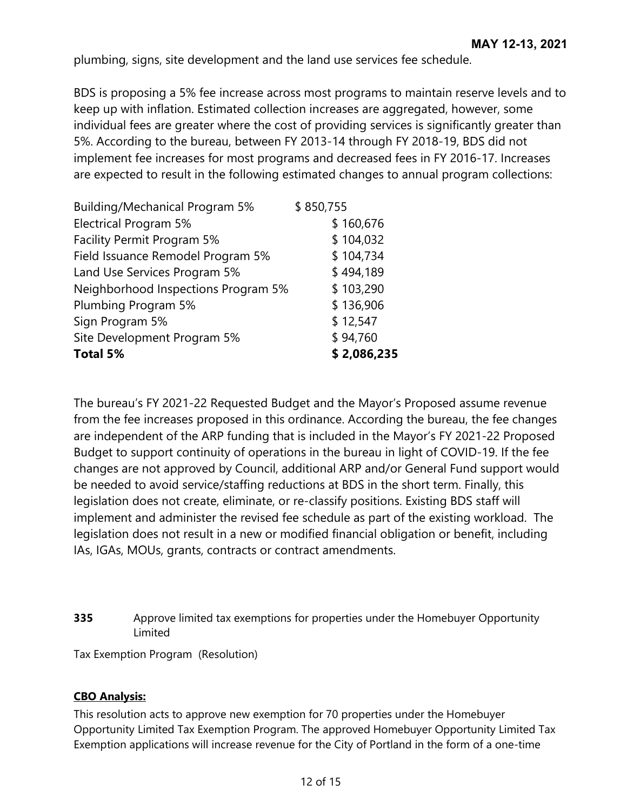plumbing, signs, site development and the land use services fee schedule.

BDS is proposing a 5% fee increase across most programs to maintain reserve levels and to keep up with inflation. Estimated collection increases are aggregated, however, some individual fees are greater where the cost of providing services is significantly greater than 5%. According to the bureau, between FY 2013-14 through FY 2018-19, BDS did not implement fee increases for most programs and decreased fees in FY 2016-17. Increases are expected to result in the following estimated changes to annual program collections:

| <b>Building/Mechanical Program 5%</b> | \$850,755   |
|---------------------------------------|-------------|
| <b>Electrical Program 5%</b>          | \$160,676   |
| Facility Permit Program 5%            | \$104,032   |
| Field Issuance Remodel Program 5%     | \$104,734   |
| Land Use Services Program 5%          | \$494,189   |
| Neighborhood Inspections Program 5%   | \$103,290   |
| Plumbing Program 5%                   | \$136,906   |
| Sign Program 5%                       | \$12,547    |
| Site Development Program 5%           | \$94,760    |
| Total 5%                              | \$2,086,235 |

The bureau's FY 2021-22 Requested Budget and the Mayor's Proposed assume revenue from the fee increases proposed in this ordinance. According the bureau, the fee changes are independent of the ARP funding that is included in the Mayor's FY 2021-22 Proposed Budget to support continuity of operations in the bureau in light of COVID-19. If the fee changes are not approved by Council, additional ARP and/or General Fund support would be needed to avoid service/staffing reductions at BDS in the short term. Finally, this legislation does not create, eliminate, or re-classify positions. Existing BDS staff will implement and administer the revised fee schedule as part of the existing workload. The legislation does not result in a new or modified financial obligation or benefit, including IAs, IGAs, MOUs, grants, contracts or contract amendments.

**335** Approve limited tax exemptions for properties under the Homebuyer Opportunity Limited

Tax Exemption Program (Resolution)

### **CBO Analysis:**

This resolution acts to approve new exemption for 70 properties under the Homebuyer Opportunity Limited Tax Exemption Program. The approved Homebuyer Opportunity Limited Tax Exemption applications will increase revenue for the City of Portland in the form of a one-time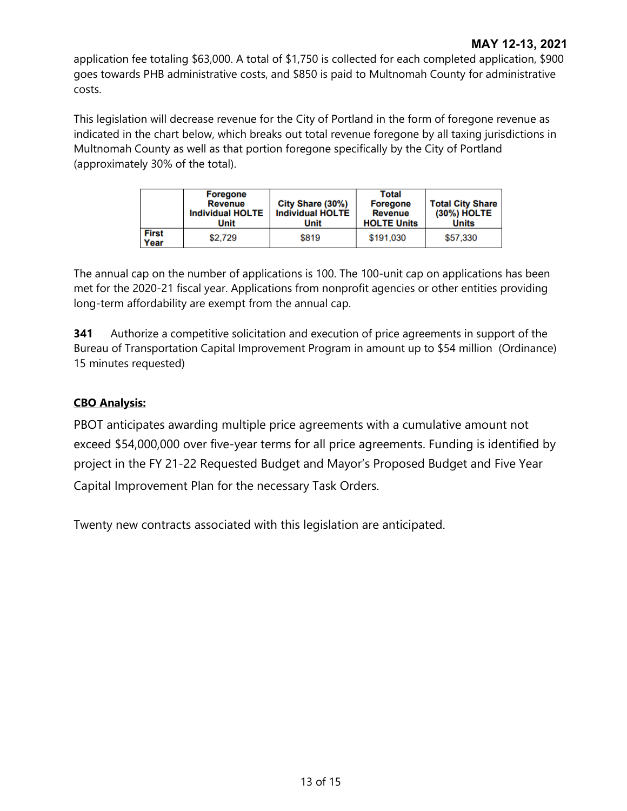application fee totaling \$63,000. A total of \$1,750 is collected for each completed application, \$900 goes towards PHB administrative costs, and \$850 is paid to Multnomah County for administrative costs.

This legislation will decrease revenue for the City of Portland in the form of foregone revenue as indicated in the chart below, which breaks out total revenue foregone by all taxing jurisdictions in Multnomah County as well as that portion foregone specifically by the City of Portland (approximately 30% of the total).

|                      | <b>Foregone</b><br>Revenue<br><b>Individual HOLTE</b><br>Unit | City Share (30%)<br><b>Individual HOLTE</b><br>Unit | Total<br><b>Foregone</b><br><b>Revenue</b><br><b>HOLTE Units</b> | <b>Total City Share</b><br>(30%) HOLTE<br><b>Units</b> |
|----------------------|---------------------------------------------------------------|-----------------------------------------------------|------------------------------------------------------------------|--------------------------------------------------------|
| <b>First</b><br>Year | \$2.729                                                       | \$819                                               | \$191.030                                                        | \$57,330                                               |

The annual cap on the number of applications is 100. The 100-unit cap on applications has been met for the 2020-21 fiscal year. Applications from nonprofit agencies or other entities providing long-term affordability are exempt from the annual cap.

**341** Authorize a competitive solicitation and execution of price agreements in support of the Bureau of Transportation Capital Improvement Program in amount up to \$54 million (Ordinance) 15 minutes requested)

## **CBO Analysis:**

PBOT anticipates awarding multiple price agreements with a cumulative amount not exceed \$54,000,000 over five-year terms for all price agreements. Funding is identified by project in the FY 21-22 Requested Budget and Mayor's Proposed Budget and Five Year Capital Improvement Plan for the necessary Task Orders.

Twenty new contracts associated with this legislation are anticipated.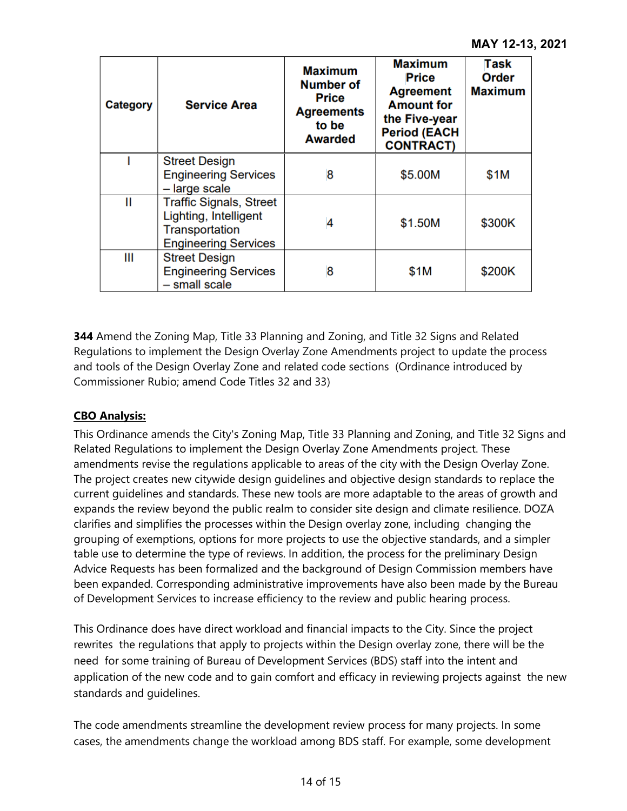| Category | <b>Service Area</b>                                                                                             | <b>Maximum</b><br>Number of<br><b>Price</b><br><b>Agreements</b><br>to be<br><b>Awarded</b> | <b>Maximum</b><br><b>Price</b><br><b>Agreement</b><br><b>Amount for</b><br>the Five-year<br><b>Period (EACH</b><br><b>CONTRACT)</b> | Task<br>Order<br><b>Maximum</b> |
|----------|-----------------------------------------------------------------------------------------------------------------|---------------------------------------------------------------------------------------------|-------------------------------------------------------------------------------------------------------------------------------------|---------------------------------|
|          | <b>Street Design</b><br><b>Engineering Services</b><br>- large scale                                            | 8                                                                                           | \$5.00M                                                                                                                             | \$1M                            |
| Ш        | <b>Traffic Signals, Street</b><br>Lighting, Intelligent<br><b>Transportation</b><br><b>Engineering Services</b> | 4                                                                                           | \$1.50M                                                                                                                             | \$300K                          |
| Ш        | <b>Street Design</b><br><b>Engineering Services</b><br>- small scale                                            | 8                                                                                           | \$1M                                                                                                                                | \$200K                          |

**344** Amend the Zoning Map, Title 33 Planning and Zoning, and Title 32 Signs and Related Regulations to implement the Design Overlay Zone Amendments project to update the process and tools of the Design Overlay Zone and related code sections (Ordinance introduced by Commissioner Rubio; amend Code Titles 32 and 33)

### **CBO Analysis:**

This Ordinance amends the City's Zoning Map, Title 33 Planning and Zoning, and Title 32 Signs and Related Regulations to implement the Design Overlay Zone Amendments project. These amendments revise the regulations applicable to areas of the city with the Design Overlay Zone. The project creates new citywide design guidelines and objective design standards to replace the current guidelines and standards. These new tools are more adaptable to the areas of growth and expands the review beyond the public realm to consider site design and climate resilience. DOZA clarifies and simplifies the processes within the Design overlay zone, including changing the grouping of exemptions, options for more projects to use the objective standards, and a simpler table use to determine the type of reviews. In addition, the process for the preliminary Design Advice Requests has been formalized and the background of Design Commission members have been expanded. Corresponding administrative improvements have also been made by the Bureau of Development Services to increase efficiency to the review and public hearing process.

This Ordinance does have direct workload and financial impacts to the City. Since the project rewrites the regulations that apply to projects within the Design overlay zone, there will be the need for some training of Bureau of Development Services (BDS) staff into the intent and application of the new code and to gain comfort and efficacy in reviewing projects against the new standards and guidelines.

The code amendments streamline the development review process for many projects. In some cases, the amendments change the workload among BDS staff. For example, some development